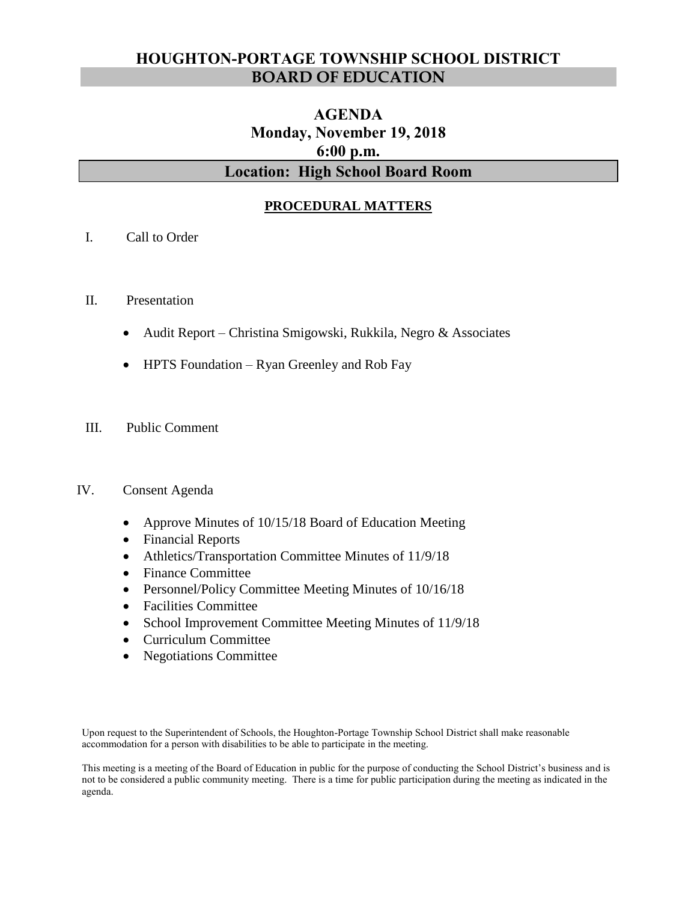## **HOUGHTON-PORTAGE TOWNSHIP SCHOOL DISTRICT BOARD OF EDUCATION**

# **AGENDA Monday, November 19, 2018 6:00 p.m. Location: High School Board Room**

## **PROCEDURAL MATTERS**

- I. Call to Order
- II. Presentation
	- Audit Report Christina Smigowski, Rukkila, Negro & Associates
	- HPTS Foundation Ryan Greenley and Rob Fay
- III. Public Comment

#### IV. Consent Agenda

- Approve Minutes of 10/15/18 Board of Education Meeting
- Financial Reports
- Athletics/Transportation Committee Minutes of 11/9/18
- Finance Committee
- Personnel/Policy Committee Meeting Minutes of 10/16/18
- Facilities Committee
- School Improvement Committee Meeting Minutes of 11/9/18
- Curriculum Committee
- Negotiations Committee

Upon request to the Superintendent of Schools, the Houghton-Portage Township School District shall make reasonable accommodation for a person with disabilities to be able to participate in the meeting.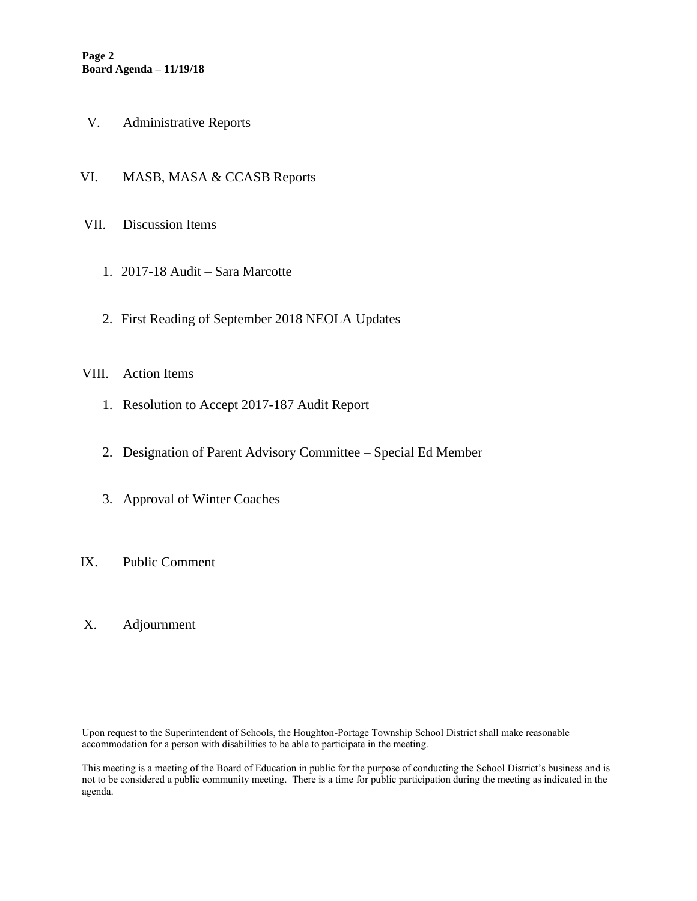- V. Administrative Reports
- VI. MASB, MASA & CCASB Reports
- VII. Discussion Items
	- 1. 2017-18 Audit Sara Marcotte
	- 2. First Reading of September 2018 NEOLA Updates

#### VIII. Action Items

- 1. Resolution to Accept 2017-187 Audit Report
- 2. Designation of Parent Advisory Committee Special Ed Member
- 3. Approval of Winter Coaches
- IX. Public Comment
- X. Adjournment

Upon request to the Superintendent of Schools, the Houghton-Portage Township School District shall make reasonable accommodation for a person with disabilities to be able to participate in the meeting.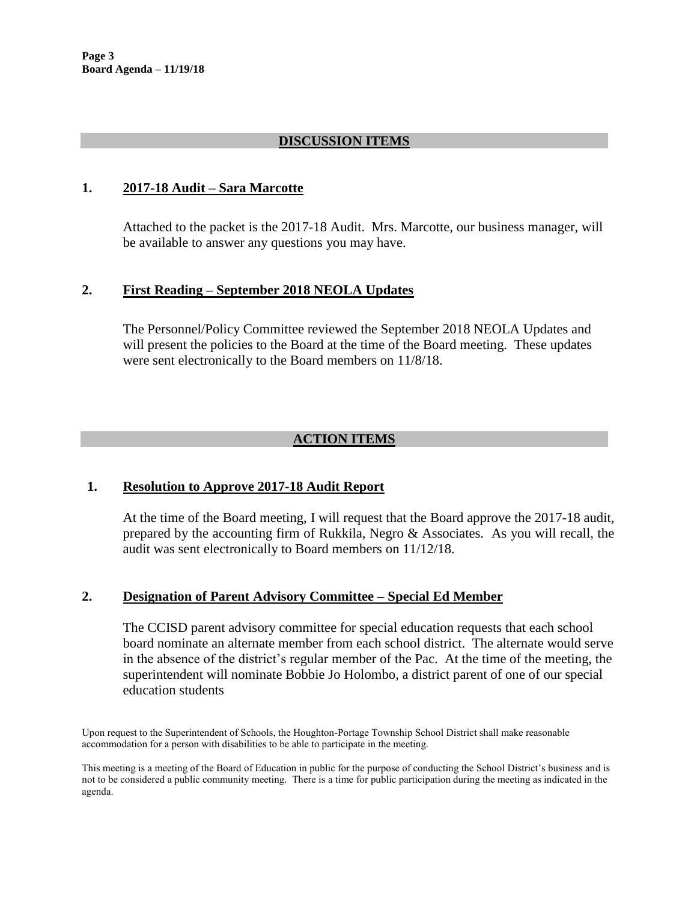### **DISCUSSION ITEMS**

#### **1. 2017-18 Audit – Sara Marcotte**

Attached to the packet is the 2017-18 Audit. Mrs. Marcotte, our business manager, will be available to answer any questions you may have.

#### **2. First Reading – September 2018 NEOLA Updates**

The Personnel/Policy Committee reviewed the September 2018 NEOLA Updates and will present the policies to the Board at the time of the Board meeting. These updates were sent electronically to the Board members on 11/8/18.

### **ACTION ITEMS**

#### **1. Resolution to Approve 2017-18 Audit Report**

At the time of the Board meeting, I will request that the Board approve the 2017-18 audit, prepared by the accounting firm of Rukkila, Negro & Associates. As you will recall, the audit was sent electronically to Board members on 11/12/18.

#### **2. Designation of Parent Advisory Committee – Special Ed Member**

The CCISD parent advisory committee for special education requests that each school board nominate an alternate member from each school district. The alternate would serve in the absence of the district's regular member of the Pac. At the time of the meeting, the superintendent will nominate Bobbie Jo Holombo, a district parent of one of our special education students

Upon request to the Superintendent of Schools, the Houghton-Portage Township School District shall make reasonable accommodation for a person with disabilities to be able to participate in the meeting.